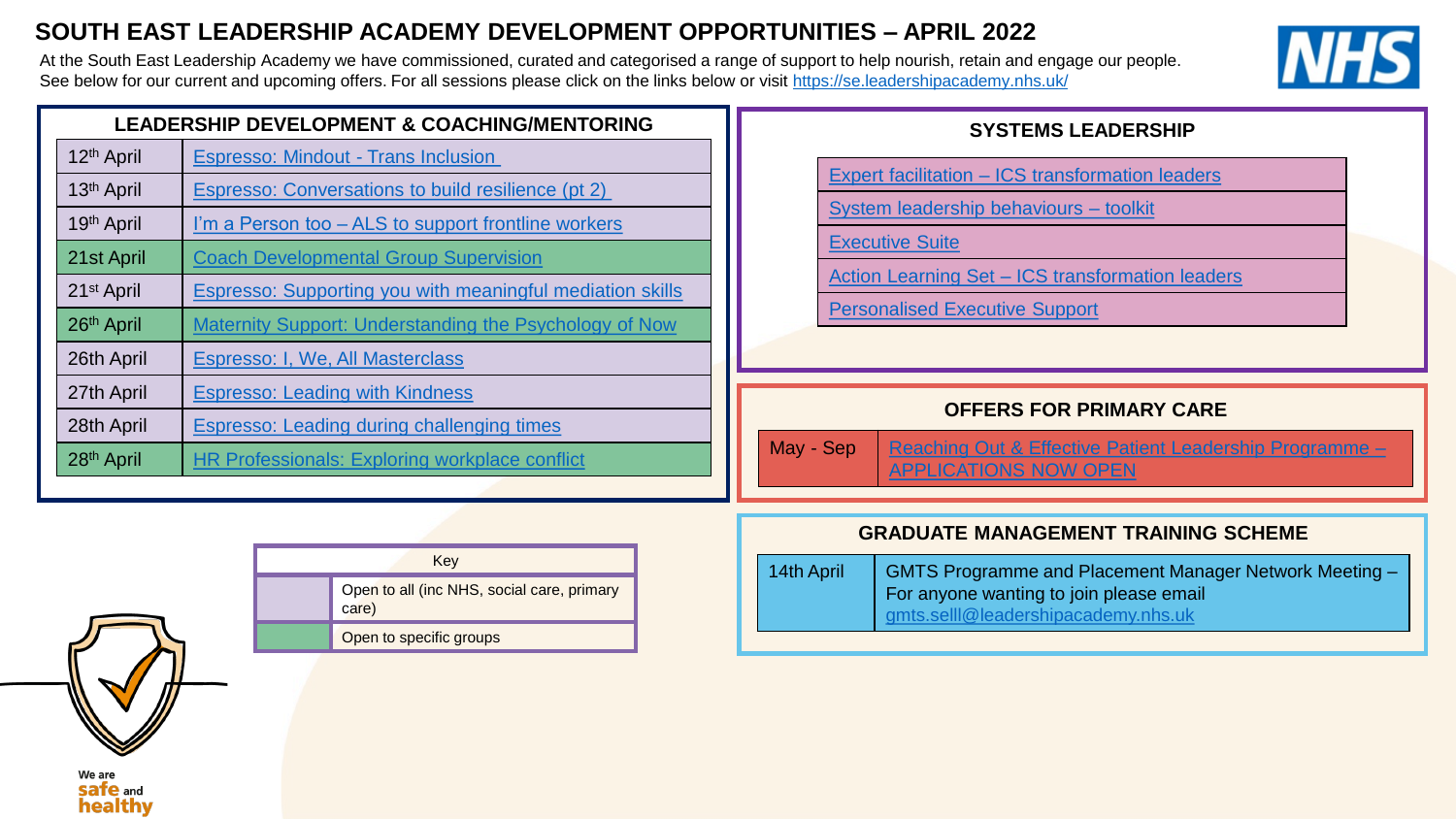## **SOUTH EAST LEADERSHIP ACADEMY DEVELOPMENT OPPORTUNITIES – APRIL 2022**

At the South East Leadership Academy we have commissioned, curated and categorised a range of support to help nourish, retain and engage our people. See below for our current and upcoming offers. For all sessions please click on the links below or visit <https://se.leadershipacademy.nhs.uk/>



| <b>LEADERSHIP DEVELOPMENT &amp; COACHING/MENTORING</b> |                                                                  |  |
|--------------------------------------------------------|------------------------------------------------------------------|--|
| 12 <sup>th</sup> April                                 | <b>Espresso: Mindout - Trans Inclusion</b>                       |  |
| 13 <sup>th</sup> April                                 | Espresso: Conversations to build resilience (pt 2)               |  |
| 19th April                                             | I'm a Person too - ALS to support frontline workers              |  |
| 21st April                                             | <b>Coach Developmental Group Supervision</b>                     |  |
| 21 <sup>st</sup> April                                 | <b>Espresso: Supporting you with meaningful mediation skills</b> |  |
| 26th April                                             | <b>Maternity Support: Understanding the Psychology of Now</b>    |  |
| 26th April                                             | Espresso: I, We, All Masterclass                                 |  |
| 27th April                                             | <b>Espresso: Leading with Kindness</b>                           |  |
| 28th April                                             | <b>Espresso: Leading during challenging times</b>                |  |
| 28 <sup>th</sup> April                                 | <b>HR Professionals: Exploring workplace conflict</b>            |  |

## **SYSTEMS LEADERSHIP**

Expert facilitation – [ICS transformation leaders](mailto:ali.jennings@leadershipacademy.nhs.uk)

[System leadership behaviours –](https://www.nwacademy.nhs.uk/discover/offers/system-leadership-behaviour-cards) toolkit

[Executive Suite](https://people.nhs.uk/senior-and-board-level-support-package/) 

Action Learning Set – [ICS transformation leaders](mailto:beth.hill@leadershipacademy.nhs.uk)

[Personalised Executive Support](https://people.nhs.uk/senior-and-board-level-support-package/)

### **OFFERS FOR PRIMARY CARE**

May - Sep | [Reaching Out & Effective Patient Leadership Programme –](https://se.leadershipacademy.nhs.uk/development-opportunities-and-support/primary-care/patient-and-citizen-leadership/) APPLICATIONS NOW OPEN

|  | Key                                                 |  |
|--|-----------------------------------------------------|--|
|  | Open to all (inc NHS, social care, primary<br>care) |  |
|  | Open to specific groups                             |  |

### **GRADUATE MANAGEMENT TRAINING SCHEME**

| 14th April | GMTS Programme and Placement Manager Network Meeting - |
|------------|--------------------------------------------------------|
|            | For anyone wanting to join please email                |
|            | gmts.sell@leadershipacademy.nhs.uk                     |

We are **safe** and healthy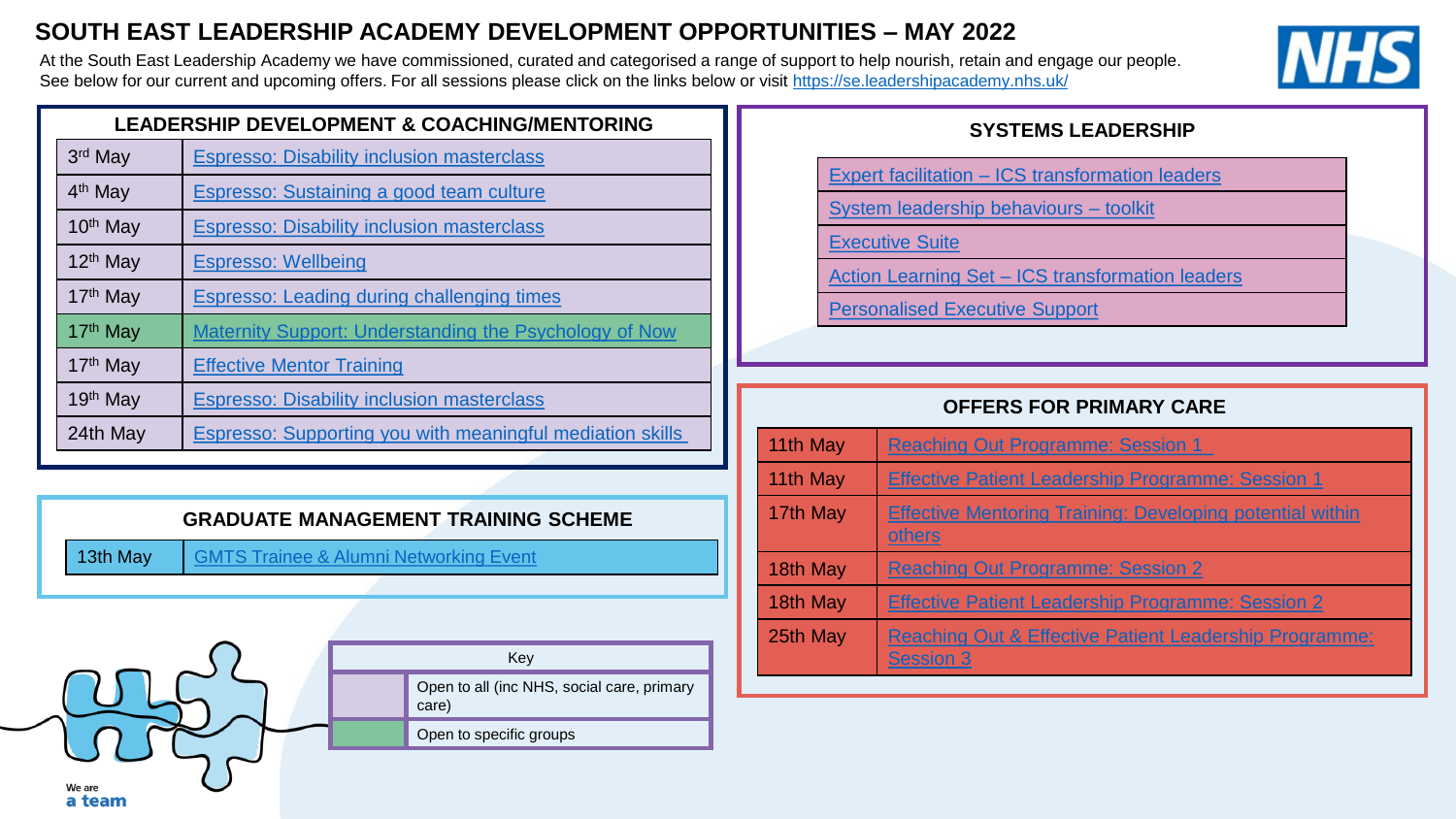## **SOUTH EAST LEADERSHIP ACADEMY DEVELOPMENT OPPORTUNITIES – MAY 2022**

At the South East Leadership Academy we have commissioned, curated and categorised a range of support to help nourish, retain and engage our people. See below for our current and upcoming offers. For all sessions please click on the links below or visit <https://se.leadershipacademy.nhs.uk/>



| <b>LEADERSHIP DEVELOPMENT &amp; COACHING/MENTORING</b> |                                                               |  |
|--------------------------------------------------------|---------------------------------------------------------------|--|
| 3rd May                                                | <b>Espresso: Disability inclusion masterclass</b>             |  |
| 4 <sup>th</sup> May                                    | Espresso: Sustaining a good team culture                      |  |
| 10 <sup>th</sup> May                                   | <b>Espresso: Disability inclusion masterclass</b>             |  |
| 12 <sup>th</sup> May                                   | <b>Espresso: Wellbeing</b>                                    |  |
| 17 <sup>th</sup> May                                   | <b>Espresso: Leading during challenging times</b>             |  |
| 17th May                                               | <b>Maternity Support: Understanding the Psychology of Now</b> |  |
| 17 <sup>th</sup> May                                   | <b>Effective Mentor Training</b>                              |  |
| 19th May                                               | <b>Espresso: Disability inclusion masterclass</b>             |  |
| 24th May                                               | Espresso: Supporting you with meaningful mediation skills     |  |

## **GRADUATE MANAGEMENT TRAINING SCHEME**

13th May | [GMTS Trainee & Alumni Networking Event](https://se.leadershipacademy.nhs.uk/event/gmts-trainee-and-alumni-network-event-3/)



## **SYSTEMS LEADERSHIP**

- Expert facilitation [ICS transformation leaders](mailto:ali.jennings@leadershipacademy.nhs.uk)
- [System leadership behaviours –](https://www.nwacademy.nhs.uk/discover/offers/system-leadership-behaviour-cards) toolkit
- [Executive Suite](https://people.nhs.uk/senior-and-board-level-support-package/)
- Action Learning Set [ICS transformation leaders](mailto:beth.hill@leadershipacademy.nhs.uk)
- [Personalised Executive Support](https://people.nhs.uk/senior-and-board-level-support-package/)

## **OFFERS FOR PRIMARY CARE**

| 11th May | <b>Reaching Out Programme: Session 1</b>                                              |  |
|----------|---------------------------------------------------------------------------------------|--|
| 11th May | <b>Effective Patient Leadership Programme: Session 1</b>                              |  |
| 17th May | <b>Effective Mentoring Training: Developing potential within</b><br>others            |  |
| 18th May | <b>Reaching Out Programme: Session 2</b>                                              |  |
| 18th May | <b>Effective Patient Leadership Programme: Session 2</b>                              |  |
| 25th May | <b>Reaching Out &amp; Effective Patient Leadership Programme:</b><br><b>Session 3</b> |  |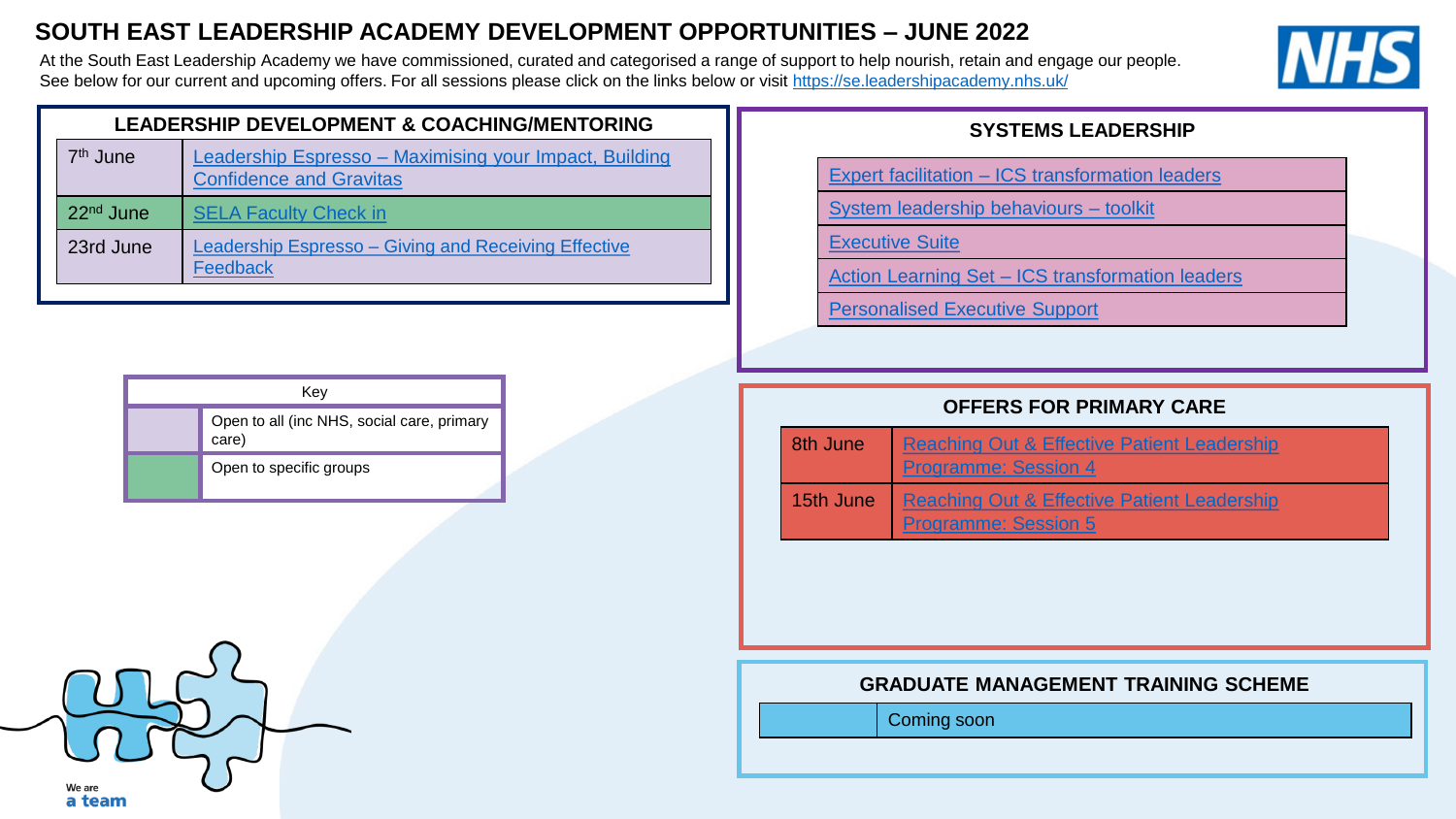## **SOUTH EAST LEADERSHIP ACADEMY DEVELOPMENT OPPORTUNITIES – JUNE 2022**

At the South East Leadership Academy we have commissioned, curated and categorised a range of support to help nourish, retain and engage our people. See below for our current and upcoming offers. For all sessions please click on the links below or visit <https://se.leadershipacademy.nhs.uk/>



| <b>LEADERSHIP DEVELOPMENT &amp; COACHING/MENTORING</b> |                                                                                          |
|--------------------------------------------------------|------------------------------------------------------------------------------------------|
| 7 <sup>th</sup> June                                   | Leadership Espresso - Maximising your Impact, Building<br><b>Confidence and Gravitas</b> |
| 22 <sup>nd</sup> June                                  | <b>SELA Faculty Check in</b>                                                             |
| 23rd June                                              | Leadership Espresso – Giving and Receiving Effective<br>Feedback                         |

| Kev |                                                     |  |
|-----|-----------------------------------------------------|--|
|     | Open to all (inc NHS, social care, primary<br>care) |  |
|     | Open to specific groups                             |  |

### **SYSTEMS LEADERSHIP**

Expert facilitation – [ICS transformation leaders](mailto:ali.jennings@leadershipacademy.nhs.uk)

[System leadership behaviours –](https://www.nwacademy.nhs.uk/discover/offers/system-leadership-behaviour-cards) toolkit

[Executive Suite](https://people.nhs.uk/senior-and-board-level-support-package/) 

Action Learning Set – [ICS transformation leaders](mailto:beth.hill@leadershipacademy.nhs.uk)

[Personalised Executive Support](https://people.nhs.uk/senior-and-board-level-support-package/)

## **OFFERS FOR PRIMARY CARE**

| 8th June  | <b>Reaching Out &amp; Effective Patient Leadership</b><br><b>Programme: Session 4</b> |  |
|-----------|---------------------------------------------------------------------------------------|--|
| 15th June | <b>Reaching Out &amp; Effective Patient Leadership</b><br><b>Programme: Session 5</b> |  |

#### **GRADUATE MANAGEMENT TRAINING SCHEME**

Coming soon